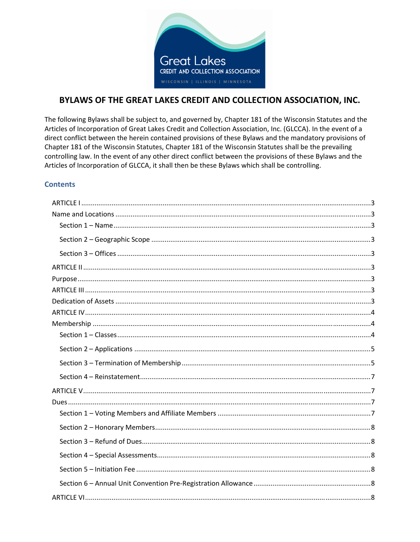

# BYLAWS OF THE GREAT LAKES CREDIT AND COLLECTION ASSOCIATION, INC.

The following Bylaws shall be subject to, and governed by, Chapter 181 of the Wisconsin Statutes and the Articles of Incorporation of Great Lakes Credit and Collection Association, Inc. (GLCCA). In the event of a direct conflict between the herein contained provisions of these Bylaws and the mandatory provisions of Chapter 181 of the Wisconsin Statutes, Chapter 181 of the Wisconsin Statutes shall be the prevailing controlling law. In the event of any other direct conflict between the provisions of these Bylaws and the Articles of Incorporation of GLCCA, it shall then be these Bylaws which shall be controlling.

## **Contents**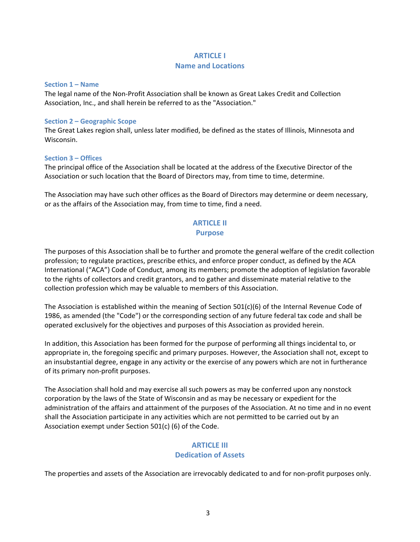## **ARTICLE I**

### **Name and Locations**

#### **Section 1 – Name**

The legal name of the Non‐Profit Association shall be known as Great Lakes Credit and Collection Association, Inc., and shall herein be referred to as the "Association."

### **Section 2 – Geographic Scope**

The Great Lakes region shall, unless later modified, be defined as the states of Illinois, Minnesota and Wisconsin.

### **Section 3 – Offices**

The principal office of the Association shall be located at the address of the Executive Director of the Association or such location that the Board of Directors may, from time to time, determine.

The Association may have such other offices as the Board of Directors may determine or deem necessary, or as the affairs of the Association may, from time to time, find a need.

# **ARTICLE II**

## **Purpose**

The purposes of this Association shall be to further and promote the general welfare of the credit collection profession; to regulate practices, prescribe ethics, and enforce proper conduct, as defined by the ACA International ("ACA") Code of Conduct, among its members; promote the adoption of legislation favorable to the rights of collectors and credit grantors, and to gather and disseminate material relative to the collection profession which may be valuable to members of this Association.

The Association is established within the meaning of Section 501(c)(6) of the Internal Revenue Code of 1986, as amended (the "Code") or the corresponding section of any future federal tax code and shall be operated exclusively for the objectives and purposes of this Association as provided herein.

In addition, this Association has been formed for the purpose of performing all things incidental to, or appropriate in, the foregoing specific and primary purposes. However, the Association shall not, except to an insubstantial degree, engage in any activity or the exercise of any powers which are not in furtherance of its primary non‐profit purposes.

The Association shall hold and may exercise all such powers as may be conferred upon any nonstock corporation by the laws of the State of Wisconsin and as may be necessary or expedient for the administration of the affairs and attainment of the purposes of the Association. At no time and in no event shall the Association participate in any activities which are not permitted to be carried out by an Association exempt under Section 501(c) (6) of the Code.

## **ARTICLE III**

## **Dedication of Assets**

The properties and assets of the Association are irrevocably dedicated to and for non‐profit purposes only.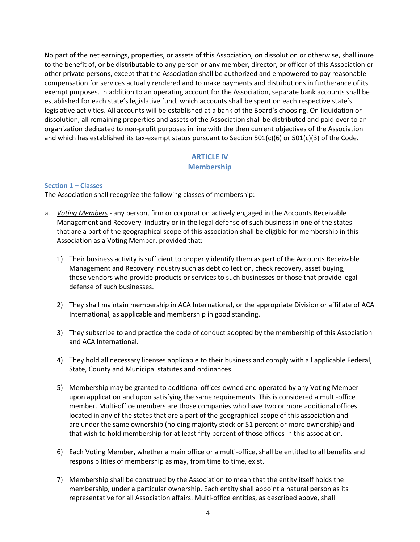No part of the net earnings, properties, or assets of this Association, on dissolution or otherwise, shall inure to the benefit of, or be distributable to any person or any member, director, or officer of this Association or other private persons, except that the Association shall be authorized and empowered to pay reasonable compensation for services actually rendered and to make payments and distributions in furtherance of its exempt purposes. In addition to an operating account for the Association, separate bank accounts shall be established for each state's legislative fund, which accounts shall be spent on each respective state's legislative activities. All accounts will be established at a bank of the Board's choosing. On liquidation or dissolution, all remaining properties and assets of the Association shall be distributed and paid over to an organization dedicated to non‐profit purposes in line with the then current objectives of the Association and which has established its tax-exempt status pursuant to Section 501(c)(6) or 501(c)(3) of the Code.

## **ARTICLE IV Membership**

### **Section 1 – Classes**

The Association shall recognize the following classes of membership:

- a. *Voting Members* ‐ any person, firm or corporation actively engaged in the Accounts Receivable Management and Recovery industry or in the legal defense of such business in one of the states that are a part of the geographical scope of this association shall be eligible for membership in this Association as a Voting Member, provided that:
	- 1) Their business activity is sufficient to properly identify them as part of the Accounts Receivable Management and Recovery industry such as debt collection, check recovery, asset buying, those vendors who provide products or services to such businesses or those that provide legal defense of such businesses.
	- 2) They shall maintain membership in ACA International, or the appropriate Division or affiliate of ACA International, as applicable and membership in good standing.
	- 3) They subscribe to and practice the code of conduct adopted by the membership of this Association and ACA International.
	- 4) They hold all necessary licenses applicable to their business and comply with all applicable Federal, State, County and Municipal statutes and ordinances.
	- 5) Membership may be granted to additional offices owned and operated by any Voting Member upon application and upon satisfying the same requirements. This is considered a multi‐office member. Multi‐office members are those companies who have two or more additional offices located in any of the states that are a part of the geographical scope of this association and are under the same ownership (holding majority stock or 51 percent or more ownership) and that wish to hold membership for at least fifty percent of those offices in this association.
	- 6) Each Voting Member, whether a main office or a multi‐office, shall be entitled to all benefits and responsibilities of membership as may, from time to time, exist.
	- 7) Membership shall be construed by the Association to mean that the entity itself holds the membership, under a particular ownership. Each entity shall appoint a natural person as its representative for all Association affairs. Multi‐office entities, as described above, shall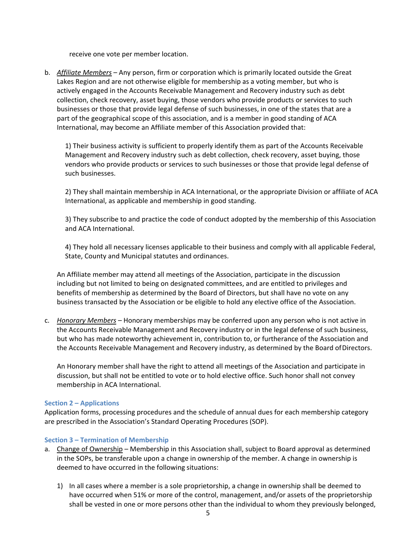receive one vote per member location.

b. *Affiliate Members* – Any person, firm or corporation which is primarily located outside the Great Lakes Region and are not otherwise eligible for membership as a voting member, but who is actively engaged in the Accounts Receivable Management and Recovery industry such as debt collection, check recovery, asset buying, those vendors who provide products or services to such businesses or those that provide legal defense of such businesses, in one of the states that are a part of the geographical scope of this association, and is a member in good standing of ACA International, may become an Affiliate member of this Association provided that:

1) Their business activity is sufficient to properly identify them as part of the Accounts Receivable Management and Recovery industry such as debt collection, check recovery, asset buying, those vendors who provide products or services to such businesses or those that provide legal defense of such businesses.

2) They shall maintain membership in ACA International, or the appropriate Division or affiliate of ACA International, as applicable and membership in good standing.

3) They subscribe to and practice the code of conduct adopted by the membership of this Association and ACA International.

4) They hold all necessary licenses applicable to their business and comply with all applicable Federal, State, County and Municipal statutes and ordinances.

An Affiliate member may attend all meetings of the Association, participate in the discussion including but not limited to being on designated committees, and are entitled to privileges and benefits of membership as determined by the Board of Directors, but shall have no vote on any business transacted by the Association or be eligible to hold any elective office of the Association.

c. *Honorary Members* – Honorary memberships may be conferred upon any person who is not active in the Accounts Receivable Management and Recovery industry or in the legal defense of such business, but who has made noteworthy achievement in, contribution to, or furtherance of the Association and the Accounts Receivable Management and Recovery industry, as determined by the Board ofDirectors.

An Honorary member shall have the right to attend all meetings of the Association and participate in discussion, but shall not be entitled to vote or to hold elective office. Such honor shall not convey membership in ACA International.

## **Section 2 – Applications**

Application forms, processing procedures and the schedule of annual dues for each membership category are prescribed in the Association's Standard Operating Procedures (SOP).

## **Section 3 – Termination of Membership**

- a. Change of Ownership Membership in this Association shall, subject to Board approval as determined in the SOPs, be transferable upon a change in ownership of the member. A change in ownership is deemed to have occurred in the following situations:
	- 1) In all cases where a member is a sole proprietorship, a change in ownership shall be deemed to have occurred when 51% or more of the control, management, and/or assets of the proprietorship shall be vested in one or more persons other than the individual to whom they previously belonged,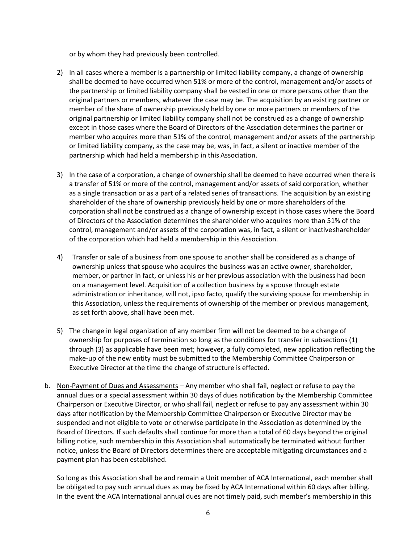or by whom they had previously been controlled.

- 2) In all cases where a member is a partnership or limited liability company, a change of ownership shall be deemed to have occurred when 51% or more of the control, management and/or assets of the partnership or limited liability company shall be vested in one or more persons other than the original partners or members, whatever the case may be. The acquisition by an existing partner or member of the share of ownership previously held by one or more partners or members of the original partnership or limited liability company shall not be construed as a change of ownership except in those cases where the Board of Directors of the Association determines the partner or member who acquires more than 51% of the control, management and/or assets of the partnership or limited liability company, as the case may be, was, in fact, a silent or inactive member of the partnership which had held a membership in this Association.
- 3) In the case of a corporation, a change of ownership shall be deemed to have occurred when there is a transfer of 51% or more of the control, management and/or assets of said corporation, whether as a single transaction or as a part of a related series of transactions. The acquisition by an existing shareholder of the share of ownership previously held by one or more shareholders of the corporation shall not be construed as a change of ownership except in those cases where the Board of Directors of the Association determines the shareholder who acquires more than 51% of the control, management and/or assets of the corporation was, in fact, a silent or inactiveshareholder of the corporation which had held a membership in this Association.
- 4) Transfer or sale of a business from one spouse to another shall be considered as a change of ownership unless that spouse who acquires the business was an active owner, shareholder, member, or partner in fact, or unless his or her previous association with the business had been on a management level. Acquisition of a collection business by a spouse through estate administration or inheritance, will not, ipso facto, qualify the surviving spouse for membership in this Association, unless the requirements of ownership of the member or previous management, as set forth above, shall have been met.
- 5) The change in legal organization of any member firm will not be deemed to be a change of ownership for purposes of termination so long as the conditions for transfer in subsections (1) through (3) as applicable have been met; however, a fully completed, new application reflecting the make‐up of the new entity must be submitted to the Membership Committee Chairperson or Executive Director at the time the change of structure is effected.
- b. Non-Payment of Dues and Assessments Any member who shall fail, neglect or refuse to pay the annual dues or a special assessment within 30 days of dues notification by the Membership Committee Chairperson or Executive Director, or who shall fail, neglect or refuse to pay any assessment within 30 days after notification by the Membership Committee Chairperson or Executive Director may be suspended and not eligible to vote or otherwise participate in the Association as determined by the Board of Directors. If such defaults shall continue for more than a total of 60 days beyond the original billing notice, such membership in this Association shall automatically be terminated without further notice, unless the Board of Directors determines there are acceptable mitigating circumstances and a payment plan has been established.

So long as this Association shall be and remain a Unit member of ACA International, each member shall be obligated to pay such annual dues as may be fixed by ACA International within 60 days after billing. In the event the ACA International annual dues are not timely paid, such member's membership in this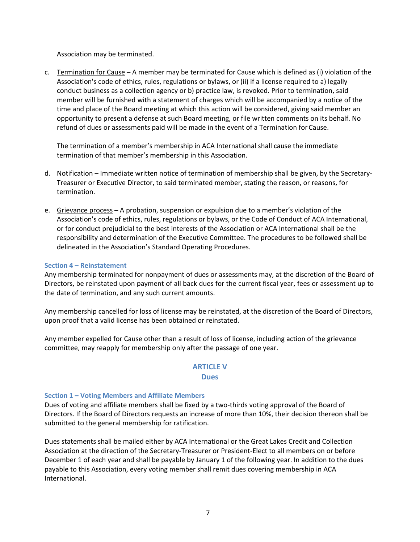Association may be terminated.

c. Termination for Cause – A member may be terminated for Cause which is defined as (i) violation of the Association's code of ethics, rules, regulations or bylaws, or (ii) if a license required to a) legally conduct business as a collection agency or b) practice law, is revoked. Prior to termination, said member will be furnished with a statement of charges which will be accompanied by a notice of the time and place of the Board meeting at which this action will be considered, giving said member an opportunity to present a defense at such Board meeting, or file written comments on its behalf. No refund of dues or assessments paid will be made in the event of a Termination for Cause.

The termination of a member's membership in ACA International shall cause the immediate termination of that member's membership in this Association.

- d. Notification Immediate written notice of termination of membership shall be given, by the Secretary‐ Treasurer or Executive Director, to said terminated member, stating the reason, or reasons, for termination.
- e. Grievance process A probation, suspension or expulsion due to a member's violation of the Association's code of ethics, rules, regulations or bylaws, or the Code of Conduct of ACA International, or for conduct prejudicial to the best interests of the Association or ACA International shall be the responsibility and determination of the Executive Committee. The procedures to be followed shall be delineated in the Association's Standard Operating Procedures.

### **Section 4 – Reinstatement**

Any membership terminated for nonpayment of dues or assessments may, at the discretion of the Board of Directors, be reinstated upon payment of all back dues for the current fiscal year, fees or assessment up to the date of termination, and any such current amounts.

Any membership cancelled for loss of license may be reinstated, at the discretion of the Board of Directors, upon proof that a valid license has been obtained or reinstated.

Any member expelled for Cause other than a result of loss of license, including action of the grievance committee, may reapply for membership only after the passage of one year.

## **ARTICLE V Dues**

#### **Section 1 – Voting Members and Affiliate Members**

Dues of voting and affiliate members shall be fixed by a two-thirds voting approval of the Board of Directors. If the Board of Directors requests an increase of more than 10%, their decision thereon shall be submitted to the general membership for ratification.

Dues statements shall be mailed either by ACA International or the Great Lakes Credit and Collection Association at the direction of the Secretary‐Treasurer or President‐Elect to all members on or before December 1 of each year and shall be payable by January 1 of the following year. In addition to the dues payable to this Association, every voting member shall remit dues covering membership in ACA International.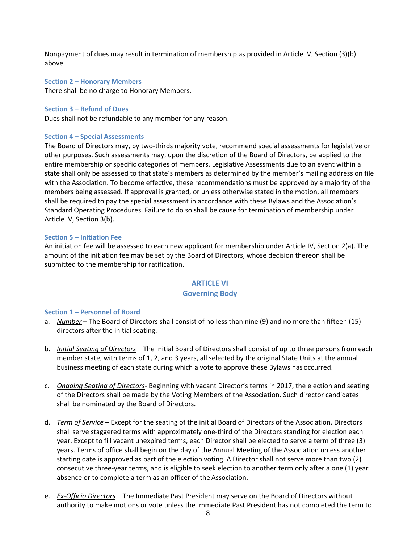Nonpayment of dues may result in termination of membership as provided in Article IV, Section (3)(b) above.

#### **Section 2 – Honorary Members**

There shall be no charge to Honorary Members.

#### **Section 3 – Refund of Dues**

Dues shall not be refundable to any member for any reason.

#### **Section 4 – Special Assessments**

The Board of Directors may, by two‐thirds majority vote, recommend special assessments for legislative or other purposes. Such assessments may, upon the discretion of the Board of Directors, be applied to the entire membership or specific categories of members. Legislative Assessments due to an event within a state shall only be assessed to that state's members as determined by the member's mailing address on file with the Association. To become effective, these recommendations must be approved by a majority of the members being assessed. If approval is granted, or unless otherwise stated in the motion, all members shall be required to pay the special assessment in accordance with these Bylaws and the Association's Standard Operating Procedures. Failure to do so shall be cause for termination of membership under Article IV, Section 3(b).

#### **Section 5 – Initiation Fee**

An initiation fee will be assessed to each new applicant for membership under Article IV, Section 2(a). The amount of the initiation fee may be set by the Board of Directors, whose decision thereon shall be submitted to the membership for ratification.

#### **ARTICLE VI**

#### **Governing Body**

#### **Section 1 – Personnel of Board**

- a. *Number* The Board of Directors shall consist of no less than nine (9) and no more than fifteen (15) directors after the initial seating.
- b. *Initial Seating of Directors* The initial Board of Directors shall consist of up to three persons from each member state, with terms of 1, 2, and 3 years, all selected by the original State Units at the annual business meeting of each state during which a vote to approve these Bylaws has occurred.
- c. *Ongoing Seating of Directors*‐ Beginning with vacant Director's terms in 2017, the election and seating of the Directors shall be made by the Voting Members of the Association. Such director candidates shall be nominated by the Board of Directors.
- d. *Term of Service* Except for the seating of the initial Board of Directors of the Association, Directors shall serve staggered terms with approximately one‐third of the Directors standing for election each year. Except to fill vacant unexpired terms, each Director shall be elected to serve a term of three (3) years. Terms of office shall begin on the day of the Annual Meeting of the Association unless another starting date is approved as part of the election voting. A Director shall not serve more than two (2) consecutive three‐year terms, and is eligible to seek election to another term only after a one (1) year absence or to complete a term as an officer of the Association.
- e. *Ex‐Officio Directors* The Immediate Past President may serve on the Board of Directors without authority to make motions or vote unless the Immediate Past President has not completed the term to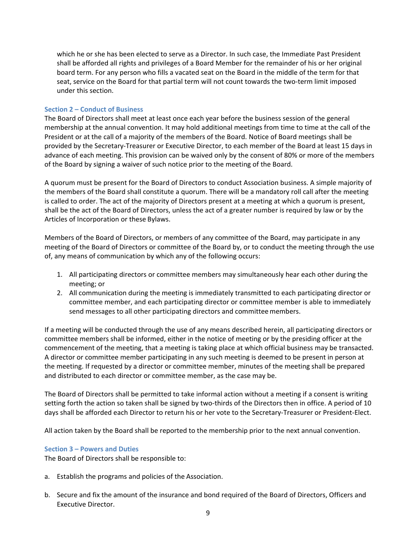which he or she has been elected to serve as a Director. In such case, the Immediate Past President shall be afforded all rights and privileges of a Board Member for the remainder of his or her original board term. For any person who fills a vacated seat on the Board in the middle of the term for that seat, service on the Board for that partial term will not count towards the two-term limit imposed under this section.

### **Section 2 – Conduct of Business**

The Board of Directors shall meet at least once each year before the business session of the general membership at the annual convention. It may hold additional meetings from time to time at the call of the President or at the call of a majority of the members of the Board. Notice of Board meetings shall be provided by the Secretary‐Treasurer or Executive Director, to each member of the Board at least 15 days in advance of each meeting. This provision can be waived only by the consent of 80% or more of the members of the Board by signing a waiver of such notice prior to the meeting of the Board.

A quorum must be present for the Board of Directors to conduct Association business. A simple majority of the members of the Board shall constitute a quorum. There will be a mandatory roll call after the meeting is called to order. The act of the majority of Directors present at a meeting at which a quorum is present, shall be the act of the Board of Directors, unless the act of a greater number is required by law or by the Articles of Incorporation or these Bylaws.

Members of the Board of Directors, or members of any committee of the Board, may participate in any meeting of the Board of Directors or committee of the Board by, or to conduct the meeting through the use of, any means of communication by which any of the following occurs:

- 1. All participating directors or committee members may simultaneously hear each other during the meeting; or
- 2. All communication during the meeting is immediately transmitted to each participating director or committee member, and each participating director or committee member is able to immediately send messages to all other participating directors and committee members.

If a meeting will be conducted through the use of any means described herein, all participating directors or committee members shall be informed, either in the notice of meeting or by the presiding officer at the commencement of the meeting, that a meeting is taking place at which official business may be transacted. A director or committee member participating in any such meeting is deemed to be present in person at the meeting. If requested by a director or committee member, minutes of the meeting shall be prepared and distributed to each director or committee member, as the case may be.

The Board of Directors shall be permitted to take informal action without a meeting if a consent is writing setting forth the action so taken shall be signed by two-thirds of the Directors then in office. A period of 10 days shall be afforded each Director to return his or her vote to the Secretary‐Treasurer or President‐Elect.

All action taken by the Board shall be reported to the membership prior to the next annual convention.

#### **Section 3 – Powers and Duties**

The Board of Directors shall be responsible to:

- a. Establish the programs and policies of the Association.
- b. Secure and fix the amount of the insurance and bond required of the Board of Directors, Officers and Executive Director.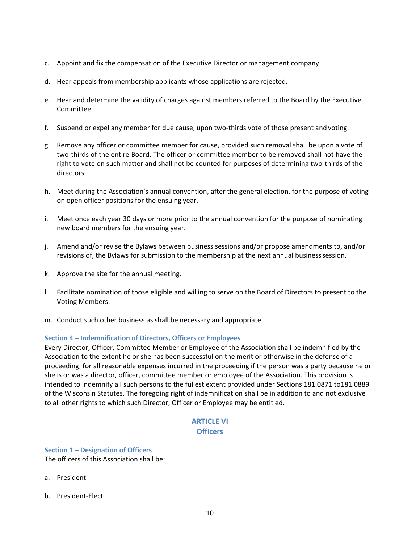- c. Appoint and fix the compensation of the Executive Director or management company.
- d. Hear appeals from membership applicants whose applications are rejected.
- e. Hear and determine the validity of charges against members referred to the Board by the Executive Committee.
- f. Suspend or expel any member for due cause, upon two‐thirds vote of those present and voting.
- g. Remove any officer or committee member for cause, provided such removal shall be upon a vote of two-thirds of the entire Board. The officer or committee member to be removed shall not have the right to vote on such matter and shall not be counted for purposes of determining two‐thirds of the directors.
- h. Meet during the Association's annual convention, after the general election, for the purpose of voting on open officer positions for the ensuing year.
- i. Meet once each year 30 days or more prior to the annual convention for the purpose of nominating new board members for the ensuing year.
- j. Amend and/or revise the Bylaws between business sessions and/or propose amendments to, and/or revisions of, the Bylaws for submission to the membership at the next annual business session.
- k. Approve the site for the annual meeting.
- l. Facilitate nomination of those eligible and willing to serve on the Board of Directors to present to the Voting Members.
- m. Conduct such other business as shall be necessary and appropriate.

## **Section 4 – Indemnification of Directors, Officers or Employees**

Every Director, Officer, Committee Member or Employee of the Association shall be indemnified by the Association to the extent he or she has been successful on the merit or otherwise in the defense of a proceeding, for all reasonable expenses incurred in the proceeding if the person was a party because he or she is or was a director, officer, committee member or employee of the Association. This provision is intended to indemnify all such persons to the fullest extent provided under Sections 181.0871 to181.0889 of the Wisconsin Statutes. The foregoing right of indemnification shall be in addition to and not exclusive to all other rights to which such Director, Officer or Employee may be entitled.

## **ARTICLE VI Officers**

## **Section 1 – Designation of Officers**

The officers of this Association shall be:

- a. President
- b. President‐Elect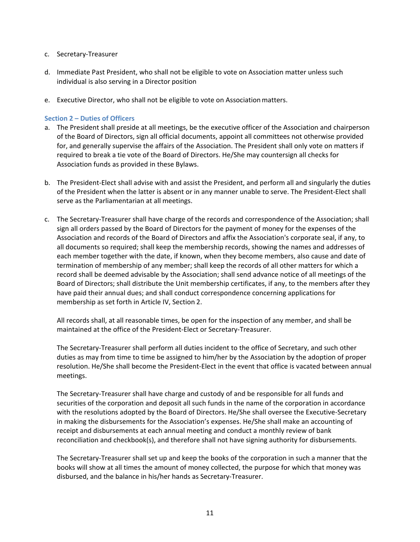- c. Secretary‐Treasurer
- d. Immediate Past President, who shall not be eligible to vote on Association matter unless such individual is also serving in a Director position
- e. Executive Director, who shall not be eligible to vote on Associationmatters.

### **Section 2 – Duties of Officers**

- a. The President shall preside at all meetings, be the executive officer of the Association and chairperson of the Board of Directors, sign all official documents, appoint all committees not otherwise provided for, and generally supervise the affairs of the Association. The President shall only vote on matters if required to break a tie vote of the Board of Directors. He/She may countersign all checks for Association funds as provided in these Bylaws.
- b. The President‐Elect shall advise with and assist the President, and perform all and singularly the duties of the President when the latter is absent or in any manner unable to serve. The President‐Elect shall serve as the Parliamentarian at all meetings.
- c. The Secretary‐Treasurer shall have charge of the records and correspondence of the Association; shall sign all orders passed by the Board of Directors for the payment of money for the expenses of the Association and records of the Board of Directors and affix the Association's corporate seal, if any, to all documents so required; shall keep the membership records, showing the names and addresses of each member together with the date, if known, when they become members, also cause and date of termination of membership of any member; shall keep the records of all other matters for which a record shall be deemed advisable by the Association; shall send advance notice of all meetings of the Board of Directors; shall distribute the Unit membership certificates, if any, to the members after they have paid their annual dues; and shall conduct correspondence concerning applications for membership as set forth in Article IV, Section 2.

All records shall, at all reasonable times, be open for the inspection of any member, and shall be maintained at the office of the President‐Elect or Secretary‐Treasurer.

The Secretary‐Treasurer shall perform all duties incident to the office of Secretary, and such other duties as may from time to time be assigned to him/her by the Association by the adoption of proper resolution. He/She shall become the President‐Elect in the event that office is vacated between annual meetings.

The Secretary‐Treasurer shall have charge and custody of and be responsible for all funds and securities of the corporation and deposit all such funds in the name of the corporation in accordance with the resolutions adopted by the Board of Directors. He/She shall oversee the Executive-Secretary in making the disbursements for the Association's expenses. He/She shall make an accounting of receipt and disbursements at each annual meeting and conduct a monthly review of bank reconciliation and checkbook(s), and therefore shall not have signing authority for disbursements.

The Secretary-Treasurer shall set up and keep the books of the corporation in such a manner that the books will show at all times the amount of money collected, the purpose for which that money was disbursed, and the balance in his/her hands as Secretary‐Treasurer.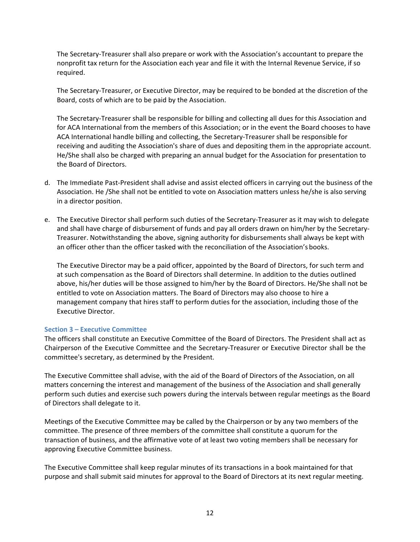The Secretary‐Treasurer shall also prepare or work with the Association's accountant to prepare the nonprofit tax return for the Association each year and file it with the Internal Revenue Service, if so required.

The Secretary‐Treasurer, or Executive Director, may be required to be bonded at the discretion of the Board, costs of which are to be paid by the Association.

The Secretary‐Treasurer shall be responsible for billing and collecting all dues for this Association and for ACA International from the members of this Association; or in the event the Board chooses to have ACA International handle billing and collecting, the Secretary‐Treasurer shall be responsible for receiving and auditing the Association's share of dues and depositing them in the appropriate account. He/She shall also be charged with preparing an annual budget for the Association for presentation to the Board of Directors.

- d. The Immediate Past‐President shall advise and assist elected officers in carrying out the business of the Association. He /She shall not be entitled to vote on Association matters unless he/she is also serving in a director position.
- e. The Executive Director shall perform such duties of the Secretary‐Treasurer as it may wish to delegate and shall have charge of disbursement of funds and pay all orders drawn on him/her by the Secretary‐ Treasurer. Notwithstanding the above, signing authority for disbursements shall always be kept with an officer other than the officer tasked with the reconciliation of the Association's books.

The Executive Director may be a paid officer, appointed by the Board of Directors, for such term and at such compensation as the Board of Directors shall determine. In addition to the duties outlined above, his/her duties will be those assigned to him/her by the Board of Directors. He/She shall not be entitled to vote on Association matters. The Board of Directors may also choose to hire a management company that hires staff to perform duties for the association, including those of the Executive Director.

## **Section 3 – Executive Committee**

The officers shall constitute an Executive Committee of the Board of Directors. The President shall act as Chairperson of the Executive Committee and the Secretary‐Treasurer or Executive Director shall be the committee's secretary, as determined by the President.

The Executive Committee shall advise, with the aid of the Board of Directors of the Association, on all matters concerning the interest and management of the business of the Association and shall generally perform such duties and exercise such powers during the intervals between regular meetings as the Board of Directors shall delegate to it.

Meetings of the Executive Committee may be called by the Chairperson or by any two members of the committee. The presence of three members of the committee shall constitute a quorum for the transaction of business, and the affirmative vote of at least two voting members shall be necessary for approving Executive Committee business.

The Executive Committee shall keep regular minutes of its transactions in a book maintained for that purpose and shall submit said minutes for approval to the Board of Directors at its next regular meeting.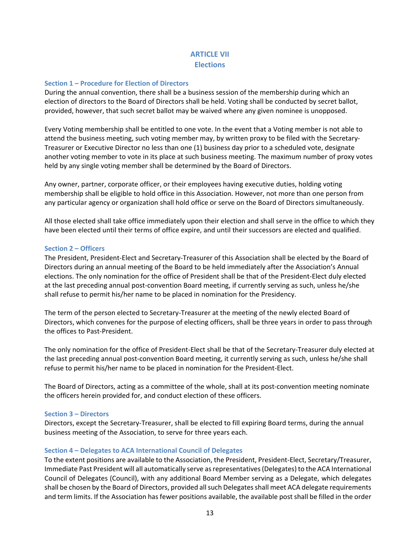## **ARTICLE VII Elections**

### **Section 1 – Procedure for Election of Directors**

During the annual convention, there shall be a business session of the membership during which an election of directors to the Board of Directors shall be held. Voting shall be conducted by secret ballot, provided, however, that such secret ballot may be waived where any given nominee is unopposed.

Every Voting membership shall be entitled to one vote. In the event that a Voting member is not able to attend the business meeting, such voting member may, by written proxy to be filed with the Secretary‐ Treasurer or Executive Director no less than one (1) business day prior to a scheduled vote, designate another voting member to vote in its place at such business meeting. The maximum number of proxy votes held by any single voting member shall be determined by the Board of Directors.

Any owner, partner, corporate officer, or their employees having executive duties, holding voting membership shall be eligible to hold office in this Association. However, not more than one person from any particular agency or organization shall hold office or serve on the Board of Directors simultaneously.

All those elected shall take office immediately upon their election and shall serve in the office to which they have been elected until their terms of office expire, and until their successors are elected and qualified.

### **Section 2 – Officers**

The President, President‐Elect and Secretary‐Treasurer of this Association shall be elected by the Board of Directors during an annual meeting of the Board to be held immediately after the Association's Annual elections. The only nomination for the office of President shall be that of the President‐Elect duly elected at the last preceding annual post-convention Board meeting, if currently serving as such, unless he/she shall refuse to permit his/her name to be placed in nomination for the Presidency.

The term of the person elected to Secretary-Treasurer at the meeting of the newly elected Board of Directors, which convenes for the purpose of electing officers, shall be three years in order to pass through the offices to Past‐President.

The only nomination for the office of President‐Elect shall be that of the Secretary‐Treasurer duly elected at the last preceding annual post‐convention Board meeting, it currently serving as such, unless he/she shall refuse to permit his/her name to be placed in nomination for the President‐Elect.

The Board of Directors, acting as a committee of the whole, shall at its post‐convention meeting nominate the officers herein provided for, and conduct election of these officers.

#### **Section 3 – Directors**

Directors, except the Secretary‐Treasurer, shall be elected to fill expiring Board terms, during the annual business meeting of the Association, to serve for three years each.

#### **Section 4 – Delegates to ACA International Council of Delegates**

To the extent positions are available to the Association, the President, President‐Elect, Secretary/Treasurer, Immediate Past President will all automatically serve asrepresentatives(Delegates) to the ACA International Council of Delegates (Council), with any additional Board Member serving as a Delegate, which delegates shall be chosen by the Board of Directors, provided all such Delegates shall meet ACA delegate requirements and term limits. If the Association has fewer positions available, the available post shall be filled in the order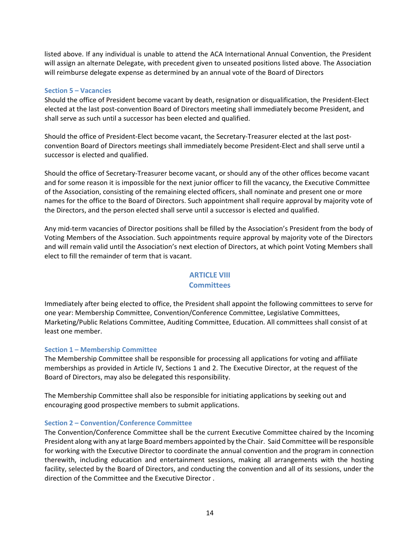listed above. If any individual is unable to attend the ACA International Annual Convention, the President will assign an alternate Delegate, with precedent given to unseated positions listed above. The Association will reimburse delegate expense as determined by an annual vote of the Board of Directors

### **Section 5 – Vacancies**

Should the office of President become vacant by death, resignation or disqualification, the President‐Elect elected at the last post-convention Board of Directors meeting shall immediately become President, and shall serve as such until a successor has been elected and qualified.

Should the office of President‐Elect become vacant, the Secretary‐Treasurer elected at the last post‐ convention Board of Directors meetings shall immediately become President‐Elect and shall serve until a successor is elected and qualified.

Should the office of Secretary‐Treasurer become vacant, or should any of the other offices become vacant and for some reason it is impossible for the next junior officer to fill the vacancy, the Executive Committee of the Association, consisting of the remaining elected officers, shall nominate and present one or more names for the office to the Board of Directors. Such appointment shall require approval by majority vote of the Directors, and the person elected shall serve until a successor is elected and qualified.

Any mid‐term vacancies of Director positions shall be filled by the Association's President from the body of Voting Members of the Association. Such appointments require approval by majority vote of the Directors and will remain valid until the Association's next election of Directors, at which point Voting Members shall elect to fill the remainder of term that is vacant.

## **ARTICLE VIII**

## **Committees**

Immediately after being elected to office, the President shall appoint the following committees to serve for one year: Membership Committee, Convention/Conference Committee, Legislative Committees, Marketing/Public Relations Committee, Auditing Committee, Education. All committees shall consist of at least one member.

## **Section 1 – Membership Committee**

The Membership Committee shall be responsible for processing all applications for voting and affiliate memberships as provided in Article IV, Sections 1 and 2. The Executive Director, at the request of the Board of Directors, may also be delegated this responsibility.

The Membership Committee shall also be responsible for initiating applications by seeking out and encouraging good prospective members to submit applications.

## **Section 2 – Convention/Conference Committee**

The Convention/Conference Committee shall be the current Executive Committee chaired by the Incoming President along with any at large Board members appointed by the Chair. Said Committee will be responsible for working with the Executive Director to coordinate the annual convention and the program in connection therewith, including education and entertainment sessions, making all arrangements with the hosting facility, selected by the Board of Directors, and conducting the convention and all of its sessions, under the direction of the Committee and the Executive Director .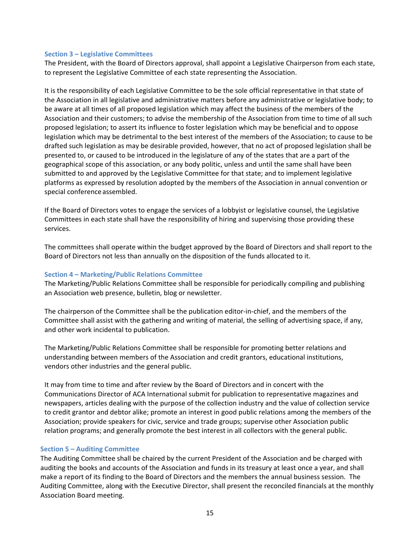#### **Section 3 – Legislative Committees**

The President, with the Board of Directors approval, shall appoint a Legislative Chairperson from each state, to represent the Legislative Committee of each state representing the Association.

It is the responsibility of each Legislative Committee to be the sole official representative in that state of the Association in all legislative and administrative matters before any administrative or legislative body; to be aware at all times of all proposed legislation which may affect the business of the members of the Association and their customers; to advise the membership of the Association from time to time of all such proposed legislation; to assert its influence to foster legislation which may be beneficial and to oppose legislation which may be detrimental to the best interest of the members of the Association; to cause to be drafted such legislation as may be desirable provided, however, that no act of proposed legislation shall be presented to, or caused to be introduced in the legislature of any of the states that are a part of the geographical scope of this association, or any body politic, unless and until the same shall have been submitted to and approved by the Legislative Committee for that state; and to implement legislative platforms as expressed by resolution adopted by the members of the Association in annual convention or special conference assembled.

If the Board of Directors votes to engage the services of a lobbyist or legislative counsel, the Legislative Committees in each state shall have the responsibility of hiring and supervising those providing these services.

The committees shall operate within the budget approved by the Board of Directors and shall report to the Board of Directors not less than annually on the disposition of the funds allocated to it.

#### **Section 4 – Marketing/Public Relations Committee**

The Marketing/Public Relations Committee shall be responsible for periodically compiling and publishing an Association web presence, bulletin, blog or newsletter.

The chairperson of the Committee shall be the publication editor-in-chief, and the members of the Committee shall assist with the gathering and writing of material, the selling of advertising space, if any, and other work incidental to publication.

The Marketing/Public Relations Committee shall be responsible for promoting better relations and understanding between members of the Association and credit grantors, educational institutions, vendors other industries and the general public.

It may from time to time and after review by the Board of Directors and in concert with the Communications Director of ACA International submit for publication to representative magazines and newspapers, articles dealing with the purpose of the collection industry and the value of collection service to credit grantor and debtor alike; promote an interest in good public relations among the members of the Association; provide speakers for civic, service and trade groups; supervise other Association public relation programs; and generally promote the best interest in all collectors with the general public.

#### **Section 5 – Auditing Committee**

The Auditing Committee shall be chaired by the current President of the Association and be charged with auditing the books and accounts of the Association and funds in its treasury at least once a year, and shall make a report of its finding to the Board of Directors and the members the annual business session. The Auditing Committee, along with the Executive Director, shall present the reconciled financials at the monthly Association Board meeting.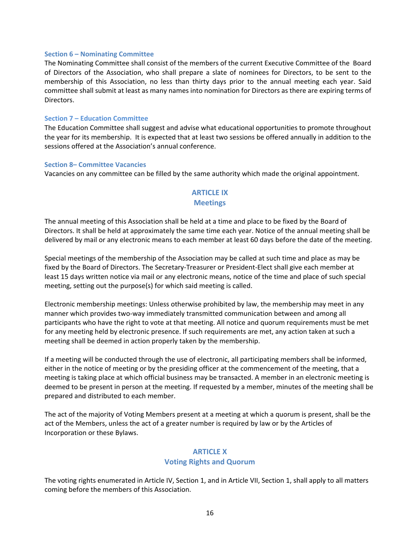#### **Section 6 – Nominating Committee**

The Nominating Committee shall consist of the members of the current Executive Committee of the Board of Directors of the Association, who shall prepare a slate of nominees for Directors, to be sent to the membership of this Association, no less than thirty days prior to the annual meeting each year. Said committee shall submit at least as many names into nomination for Directors as there are expiring terms of Directors.

#### **Section 7 – Education Committee**

The Education Committee shall suggest and advise what educational opportunities to promote throughout the year for its membership. It is expected that at least two sessions be offered annually in addition to the sessions offered at the Association's annual conference.

#### **Section 8– Committee Vacancies**

Vacancies on any committee can be filled by the same authority which made the original appointment.

## **ARTICLE IX Meetings**

The annual meeting of this Association shall be held at a time and place to be fixed by the Board of Directors. It shall be held at approximately the same time each year. Notice of the annual meeting shall be delivered by mail or any electronic means to each member at least 60 days before the date of the meeting.

Special meetings of the membership of the Association may be called at such time and place as may be fixed by the Board of Directors. The Secretary‐Treasurer or President‐Elect shall give each member at least 15 days written notice via mail or any electronic means, notice of the time and place of such special meeting, setting out the purpose(s) for which said meeting is called.

Electronic membership meetings: Unless otherwise prohibited by law, the membership may meet in any manner which provides two‐way immediately transmitted communication between and among all participants who have the right to vote at that meeting. All notice and quorum requirements must be met for any meeting held by electronic presence. If such requirements are met, any action taken at such a meeting shall be deemed in action properly taken by the membership.

If a meeting will be conducted through the use of electronic, all participating members shall be informed, either in the notice of meeting or by the presiding officer at the commencement of the meeting, that a meeting is taking place at which official business may be transacted. A member in an electronic meeting is deemed to be present in person at the meeting. If requested by a member, minutes of the meeting shall be prepared and distributed to each member.

The act of the majority of Voting Members present at a meeting at which a quorum is present, shall be the act of the Members, unless the act of a greater number is required by law or by the Articles of Incorporation or these Bylaws.

#### **ARTICLE X**

#### **Voting Rights and Quorum**

The voting rights enumerated in Article IV, Section 1, and in Article VII, Section 1, shall apply to all matters coming before the members of this Association.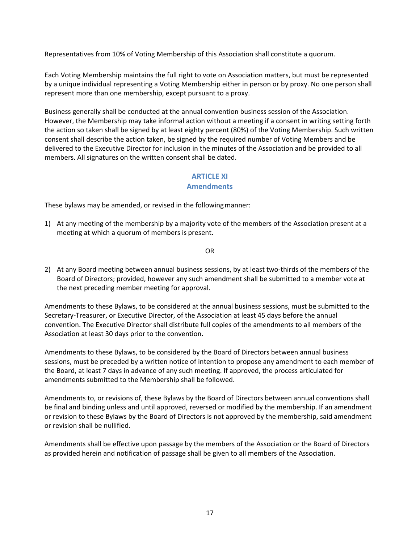Representatives from 10% of Voting Membership of this Association shall constitute a quorum.

Each Voting Membership maintains the full right to vote on Association matters, but must be represented by a unique individual representing a Voting Membership either in person or by proxy. No one person shall represent more than one membership, except pursuant to a proxy.

Business generally shall be conducted at the annual convention business session of the Association. However, the Membership may take informal action without a meeting if a consent in writing setting forth the action so taken shall be signed by at least eighty percent (80%) of the Voting Membership. Such written consent shall describe the action taken, be signed by the required number of Voting Members and be delivered to the Executive Director for inclusion in the minutes of the Association and be provided to all members. All signatures on the written consent shall be dated.

## **ARTICLE XI**

## **Amendments**

These bylaws may be amended, or revised in the followingmanner:

1) At any meeting of the membership by a majority vote of the members of the Association present at a meeting at which a quorum of members is present.

#### OR

2) At any Board meeting between annual business sessions, by at least two-thirds of the members of the Board of Directors; provided, however any such amendment shall be submitted to a member vote at the next preceding member meeting for approval.

Amendments to these Bylaws, to be considered at the annual business sessions, must be submitted to the Secretary‐Treasurer, or Executive Director, of the Association at least 45 days before the annual convention. The Executive Director shall distribute full copies of the amendments to all members of the Association at least 30 days prior to the convention.

Amendments to these Bylaws, to be considered by the Board of Directors between annual business sessions, must be preceded by a written notice of intention to propose any amendment to each member of the Board, at least 7 days in advance of any such meeting. If approved, the process articulated for amendments submitted to the Membership shall be followed.

Amendments to, or revisions of, these Bylaws by the Board of Directors between annual conventions shall be final and binding unless and until approved, reversed or modified by the membership. If an amendment or revision to these Bylaws by the Board of Directors is not approved by the membership, said amendment or revision shall be nullified.

Amendments shall be effective upon passage by the members of the Association or the Board of Directors as provided herein and notification of passage shall be given to all members of the Association.